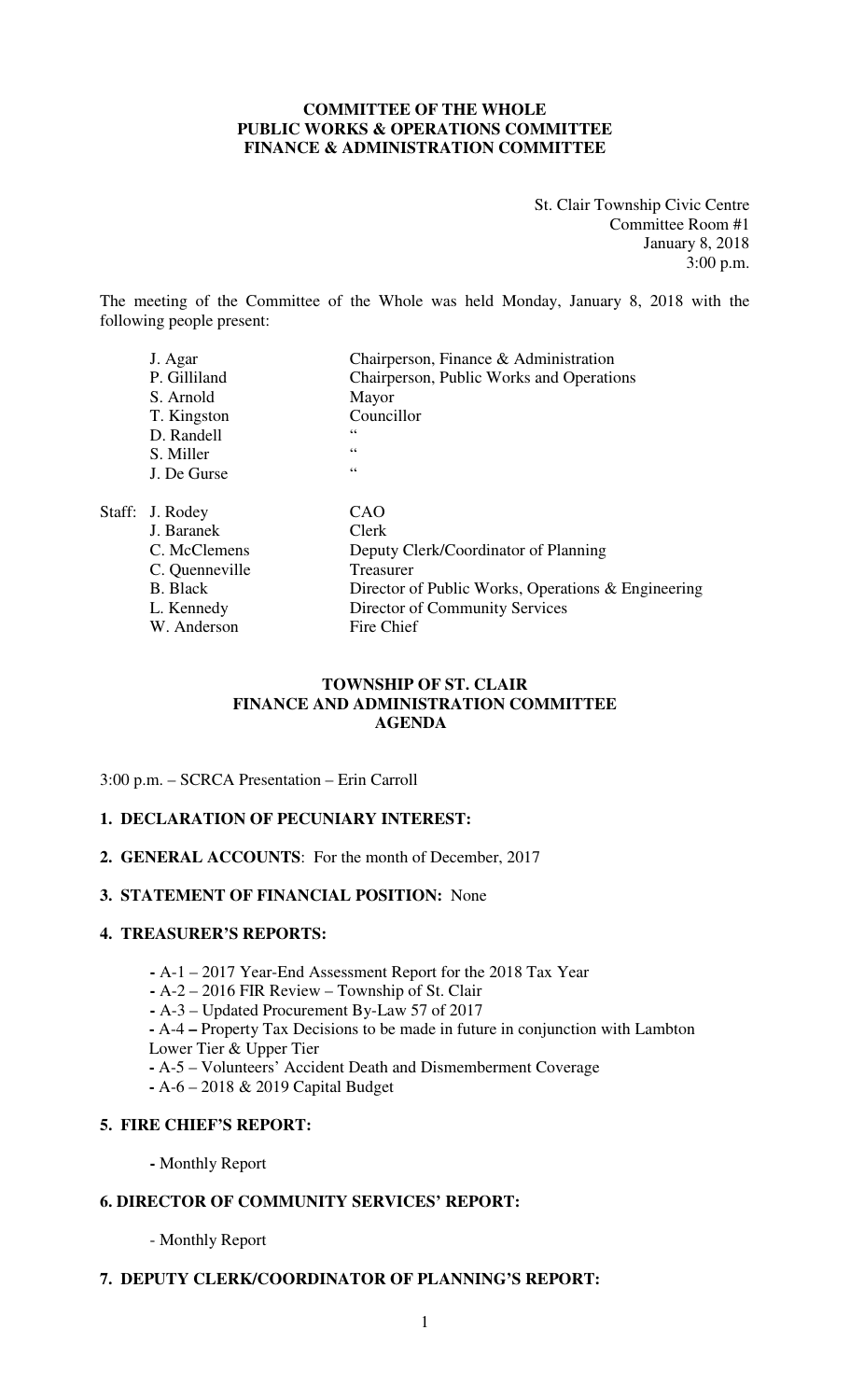## **COMMITTEE OF THE WHOLE PUBLIC WORKS & OPERATIONS COMMITTEE FINANCE & ADMINISTRATION COMMITTEE**

St. Clair Township Civic Centre Committee Room #1 January 8, 2018 3:00 p.m.

The meeting of the Committee of the Whole was held Monday, January 8, 2018 with the following people present:

| J. Agar         | Chairperson, Finance & Administration              |
|-----------------|----------------------------------------------------|
| P. Gilliland    | Chairperson, Public Works and Operations           |
| S. Arnold       | Mayor                                              |
| T. Kingston     | Councillor                                         |
| D. Randell      | 66                                                 |
| S. Miller       | 66                                                 |
| J. De Gurse     | 66                                                 |
| Staff: J. Rodey | CAO                                                |
| J. Baranek      | Clerk                                              |
| C. McClemens    | Deputy Clerk/Coordinator of Planning               |
| C. Quenneville  | <b>Treasurer</b>                                   |
| <b>B.</b> Black | Director of Public Works, Operations & Engineering |
| L. Kennedy      | Director of Community Services                     |
| W. Anderson     | Fire Chief                                         |

## **TOWNSHIP OF ST. CLAIR FINANCE AND ADMINISTRATION COMMITTEE AGENDA**

3:00 p.m. – SCRCA Presentation – Erin Carroll

## **1. DECLARATION OF PECUNIARY INTEREST:**

**2. GENERAL ACCOUNTS**: For the month of December, 2017

#### **3. STATEMENT OF FINANCIAL POSITION:** None

#### **4. TREASURER'S REPORTS:**

- **-** A-1 2017 Year-End Assessment Report for the 2018 Tax Year
- **-** A-2 2016 FIR Review Township of St. Clair
- A-3 Updated Procurement By-Law 57 of 2017

**-** A-4 **–** Property Tax Decisions to be made in future in conjunction with Lambton

- Lower Tier & Upper Tier
- **-** A-5 Volunteers' Accident Death and Dismemberment Coverage
- **-** A-6 2018 & 2019 Capital Budget

# **5. FIRE CHIEF'S REPORT:**

 **-** Monthly Report

# **6. DIRECTOR OF COMMUNITY SERVICES' REPORT:**

- Monthly Report

## **7. DEPUTY CLERK/COORDINATOR OF PLANNING'S REPORT:**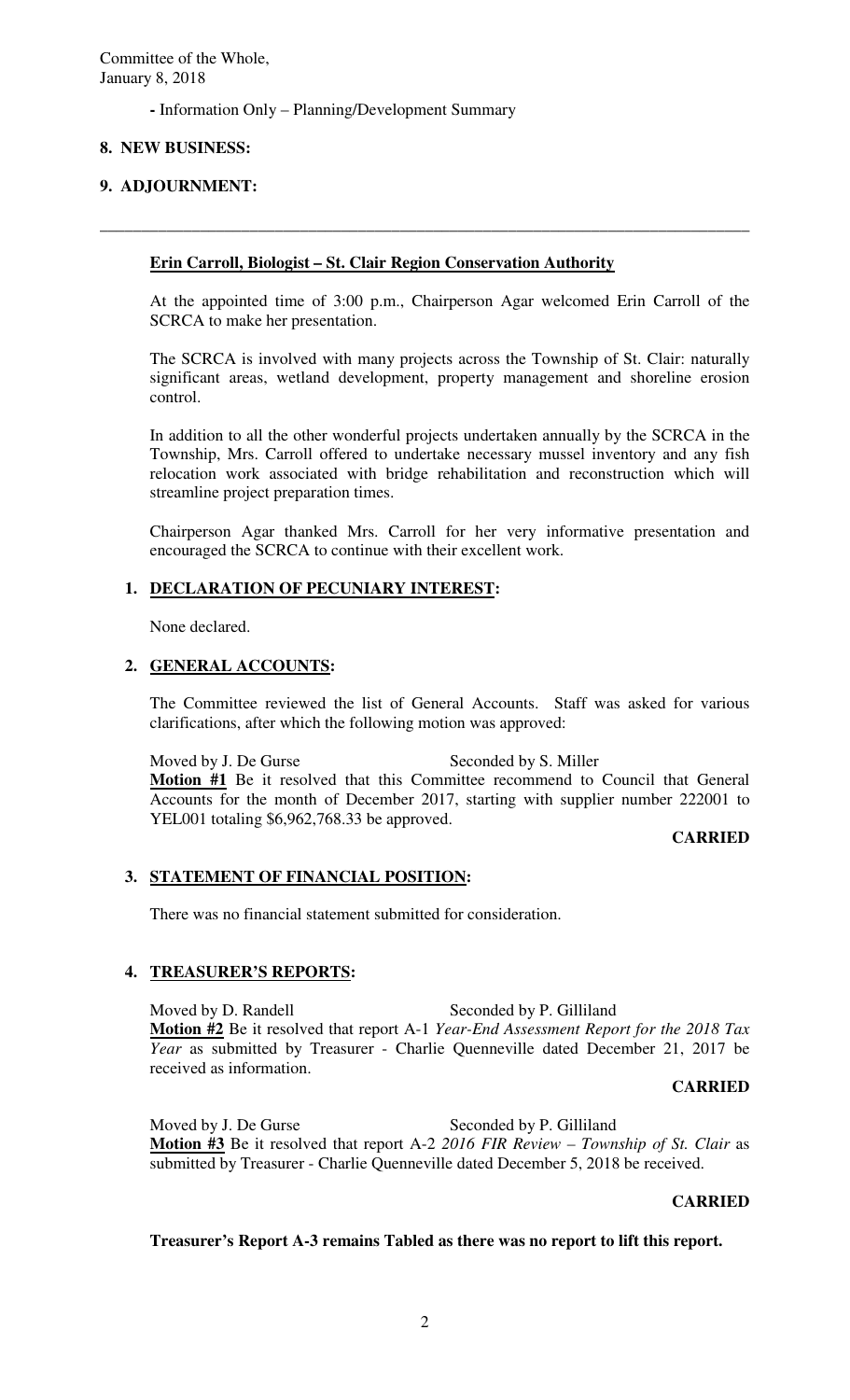**-** Information Only – Planning/Development Summary

# **8. NEW BUSINESS:**

# **9. ADJOURNMENT:**

# **Erin Carroll, Biologist – St. Clair Region Conservation Authority**

At the appointed time of 3:00 p.m., Chairperson Agar welcomed Erin Carroll of the SCRCA to make her presentation.

**\_\_\_\_\_\_\_\_\_\_\_\_\_\_\_\_\_\_\_\_\_\_\_\_\_\_\_\_\_\_\_\_\_\_\_\_\_\_\_\_\_\_\_\_\_\_\_\_\_\_\_\_\_\_\_\_\_\_\_\_\_\_\_\_\_\_\_\_\_\_\_\_\_\_\_\_\_\_** 

The SCRCA is involved with many projects across the Township of St. Clair: naturally significant areas, wetland development, property management and shoreline erosion control.

In addition to all the other wonderful projects undertaken annually by the SCRCA in the Township, Mrs. Carroll offered to undertake necessary mussel inventory and any fish relocation work associated with bridge rehabilitation and reconstruction which will streamline project preparation times.

Chairperson Agar thanked Mrs. Carroll for her very informative presentation and encouraged the SCRCA to continue with their excellent work.

## **1. DECLARATION OF PECUNIARY INTEREST:**

None declared.

## **2. GENERAL ACCOUNTS:**

The Committee reviewed the list of General Accounts. Staff was asked for various clarifications, after which the following motion was approved:

Moved by J. De Gurse Seconded by S. Miller **Motion #1** Be it resolved that this Committee recommend to Council that General Accounts for the month of December 2017, starting with supplier number 222001 to YEL001 totaling \$6,962,768.33 be approved.

**CARRIED** 

## **3. STATEMENT OF FINANCIAL POSITION:**

There was no financial statement submitted for consideration.

## **4. TREASURER'S REPORTS:**

Moved by D. Randell Seconded by P. Gilliland **Motion #2** Be it resolved that report A-1 *Year-End Assessment Report for the 2018 Tax Year* as submitted by Treasurer - Charlie Quenneville dated December 21, 2017 be received as information.

#### **CARRIED**

Moved by J. De Gurse Seconded by P. Gilliland **Motion #3** Be it resolved that report A-2 *2016 FIR Review – Township of St. Clair* as submitted by Treasurer - Charlie Quenneville dated December 5, 2018 be received.

#### **CARRIED**

## **Treasurer's Report A-3 remains Tabled as there was no report to lift this report.**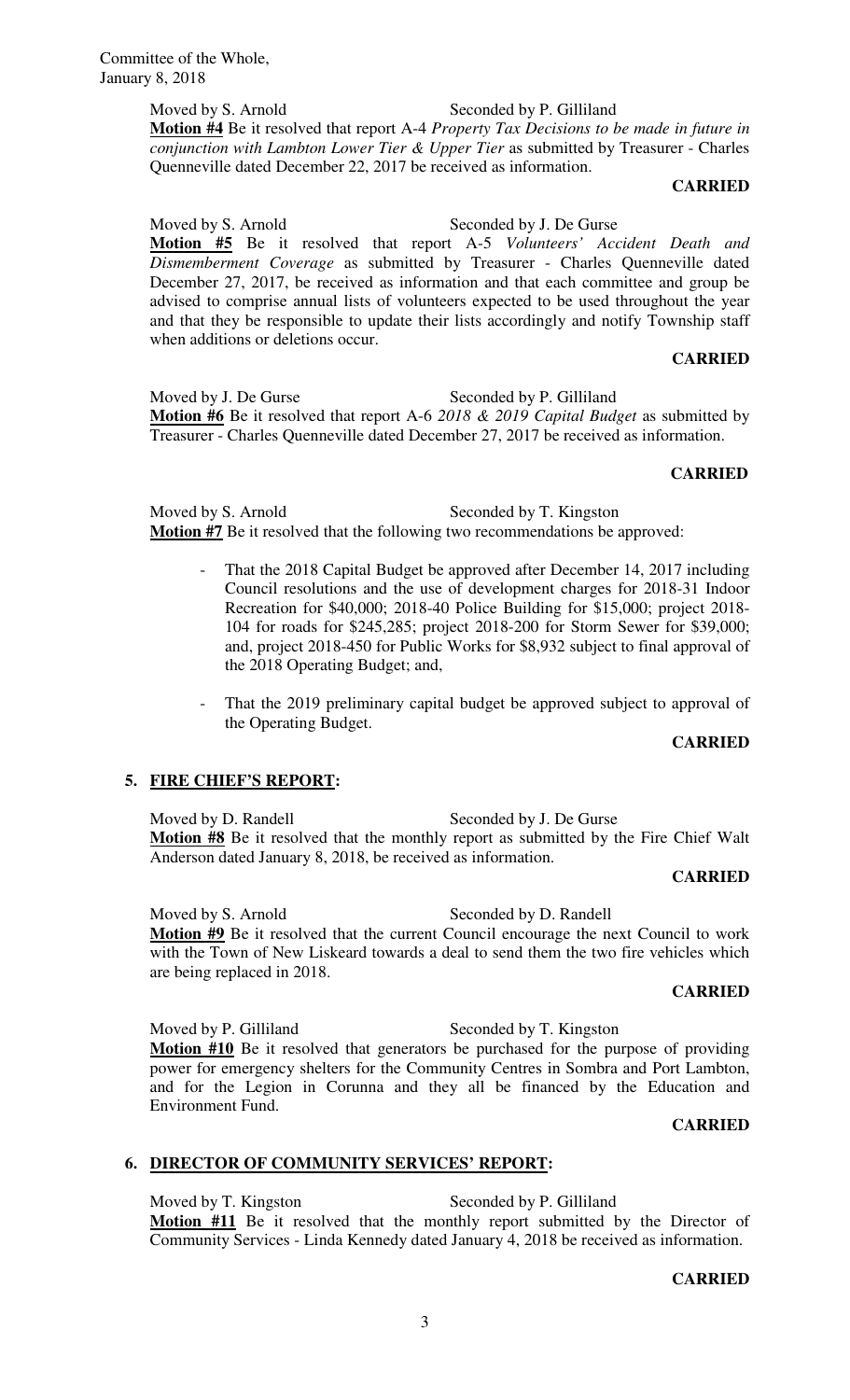Moved by S. Arnold Seconded by P. Gilliland **Motion #4** Be it resolved that report A-4 *Property Tax Decisions to be made in future in conjunction with Lambton Lower Tier & Upper Tier* as submitted by Treasurer - Charles Quenneville dated December 22, 2017 be received as information.

#### **CARRIED**

Moved by S. Arnold Seconded by J. De Gurse **Motion #5** Be it resolved that report A-5 *Volunteers' Accident Death and Dismemberment Coverage* as submitted by Treasurer - Charles Quenneville dated December 27, 2017, be received as information and that each committee and group be advised to comprise annual lists of volunteers expected to be used throughout the year and that they be responsible to update their lists accordingly and notify Township staff when additions or deletions occur.

### **CARRIED**

Moved by J. De Gurse Seconded by P. Gilliland **Motion #6** Be it resolved that report A-6 *2018 & 2019 Capital Budget* as submitted by Treasurer - Charles Quenneville dated December 27, 2017 be received as information.

#### **CARRIED**

Moved by S. Arnold Seconded by T. Kingston **Motion #7** Be it resolved that the following two recommendations be approved:

- That the 2018 Capital Budget be approved after December 14, 2017 including Council resolutions and the use of development charges for 2018-31 Indoor Recreation for \$40,000; 2018-40 Police Building for \$15,000; project 2018- 104 for roads for \$245,285; project 2018-200 for Storm Sewer for \$39,000; and, project 2018-450 for Public Works for \$8,932 subject to final approval of the 2018 Operating Budget; and,
- That the 2019 preliminary capital budget be approved subject to approval of the Operating Budget.

#### **CARRIED**

## **5. FIRE CHIEF'S REPORT:**

Moved by D. Randell Seconded by J. De Gurse **Motion #8** Be it resolved that the monthly report as submitted by the Fire Chief Walt Anderson dated January 8, 2018, be received as information.

#### **CARRIED**

Moved by S. Arnold Seconded by D. Randell **Motion #9** Be it resolved that the current Council encourage the next Council to work with the Town of New Liskeard towards a deal to send them the two fire vehicles which are being replaced in 2018.

#### **CARRIED**

Moved by P. Gilliland Seconded by T. Kingston **Motion #10** Be it resolved that generators be purchased for the purpose of providing power for emergency shelters for the Community Centres in Sombra and Port Lambton, and for the Legion in Corunna and they all be financed by the Education and Environment Fund.

## **CARRIED**

## **6. DIRECTOR OF COMMUNITY SERVICES' REPORT:**

Moved by T. Kingston Seconded by P. Gilliland **Motion #11** Be it resolved that the monthly report submitted by the Director of Community Services - Linda Kennedy dated January 4, 2018 be received as information.

#### **CARRIED**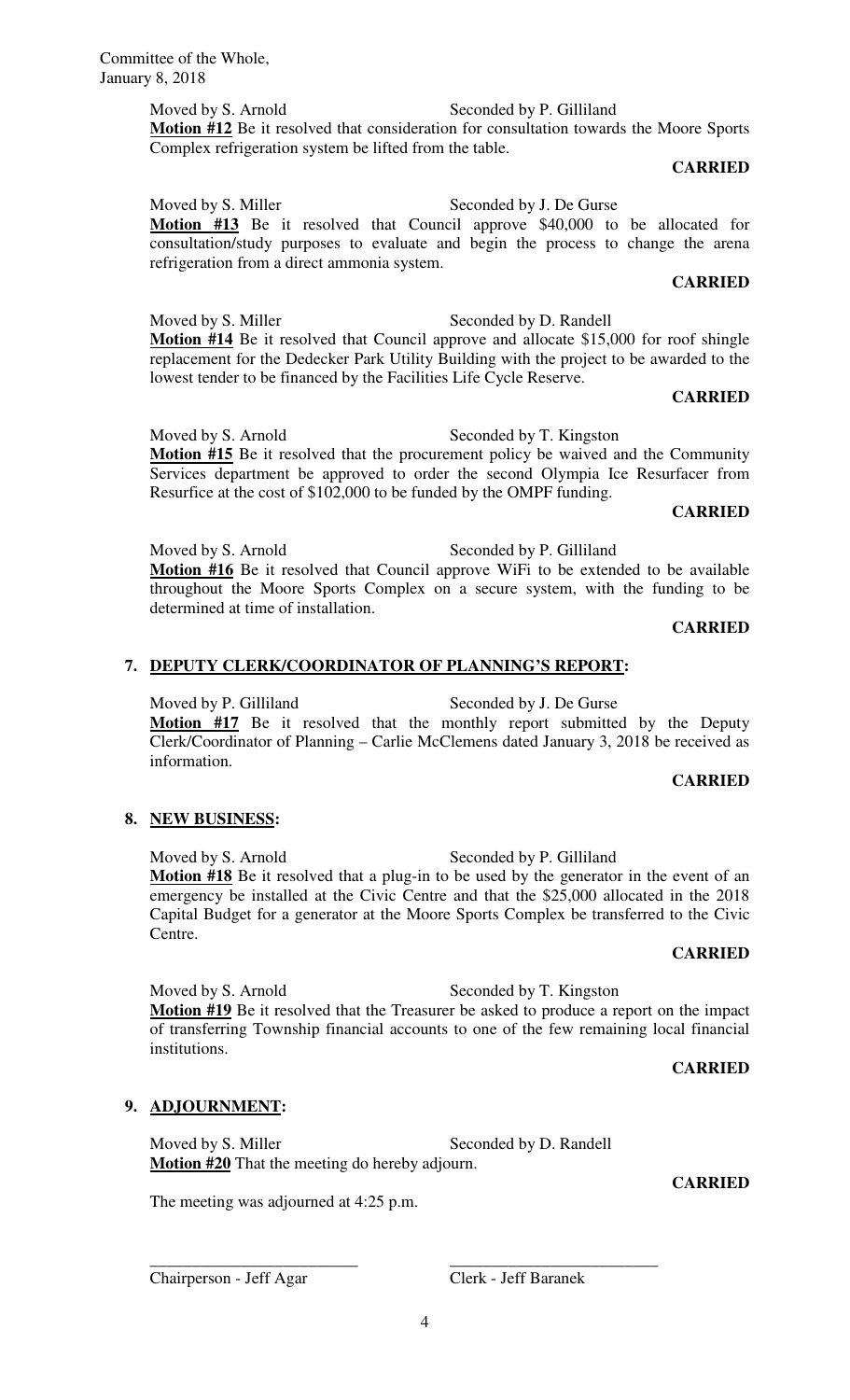\_\_\_\_\_\_\_\_\_\_\_\_\_\_\_\_\_\_\_\_\_\_\_\_\_ \_\_\_\_\_\_\_\_\_\_\_\_\_\_\_\_\_\_\_\_\_\_\_\_\_

Committee of the Whole, January 8, 2018

> Moved by S. Arnold Seconded by P. Gilliland **Motion #12** Be it resolved that consideration for consultation towards the Moore Sports Complex refrigeration system be lifted from the table.

# **CARRIED**

Moved by S. Miller Seconded by J. De Gurse **Motion #13** Be it resolved that Council approve \$40,000 to be allocated for consultation/study purposes to evaluate and begin the process to change the arena refrigeration from a direct ammonia system.

# **CARRIED**

Moved by S. Miller Seconded by D. Randell **Motion #14** Be it resolved that Council approve and allocate \$15,000 for roof shingle replacement for the Dedecker Park Utility Building with the project to be awarded to the lowest tender to be financed by the Facilities Life Cycle Reserve.

## **CARRIED**

Moved by S. Arnold Seconded by T. Kingston **Motion #15** Be it resolved that the procurement policy be waived and the Community Services department be approved to order the second Olympia Ice Resurfacer from Resurfice at the cost of \$102,000 to be funded by the OMPF funding.

#### **CARRIED**

Moved by S. Arnold Seconded by P. Gilliland **Motion #16** Be it resolved that Council approve WiFi to be extended to be available throughout the Moore Sports Complex on a secure system, with the funding to be determined at time of installation.

## **CARRIED**

# **7. DEPUTY CLERK/COORDINATOR OF PLANNING'S REPORT:**

Moved by P. Gilliland Seconded by J. De Gurse **Motion #17** Be it resolved that the monthly report submitted by the Deputy Clerk/Coordinator of Planning – Carlie McClemens dated January 3, 2018 be received as information.

## **CARRIED**

# **8. NEW BUSINESS:**

Moved by S. Arnold Seconded by P. Gilliland **Motion #18** Be it resolved that a plug-in to be used by the generator in the event of an emergency be installed at the Civic Centre and that the \$25,000 allocated in the 2018 Capital Budget for a generator at the Moore Sports Complex be transferred to the Civic Centre.

## **CARRIED**

Moved by S. Arnold Seconded by T. Kingston **Motion #19** Be it resolved that the Treasurer be asked to produce a report on the impact of transferring Township financial accounts to one of the few remaining local financial institutions.

## **CARRIED**

# **9. ADJOURNMENT:**

Moved by S. Miller Seconded by D. Randell **Motion #20** That the meeting do hereby adjourn.

The meeting was adjourned at 4:25 p.m.

**CARRIED**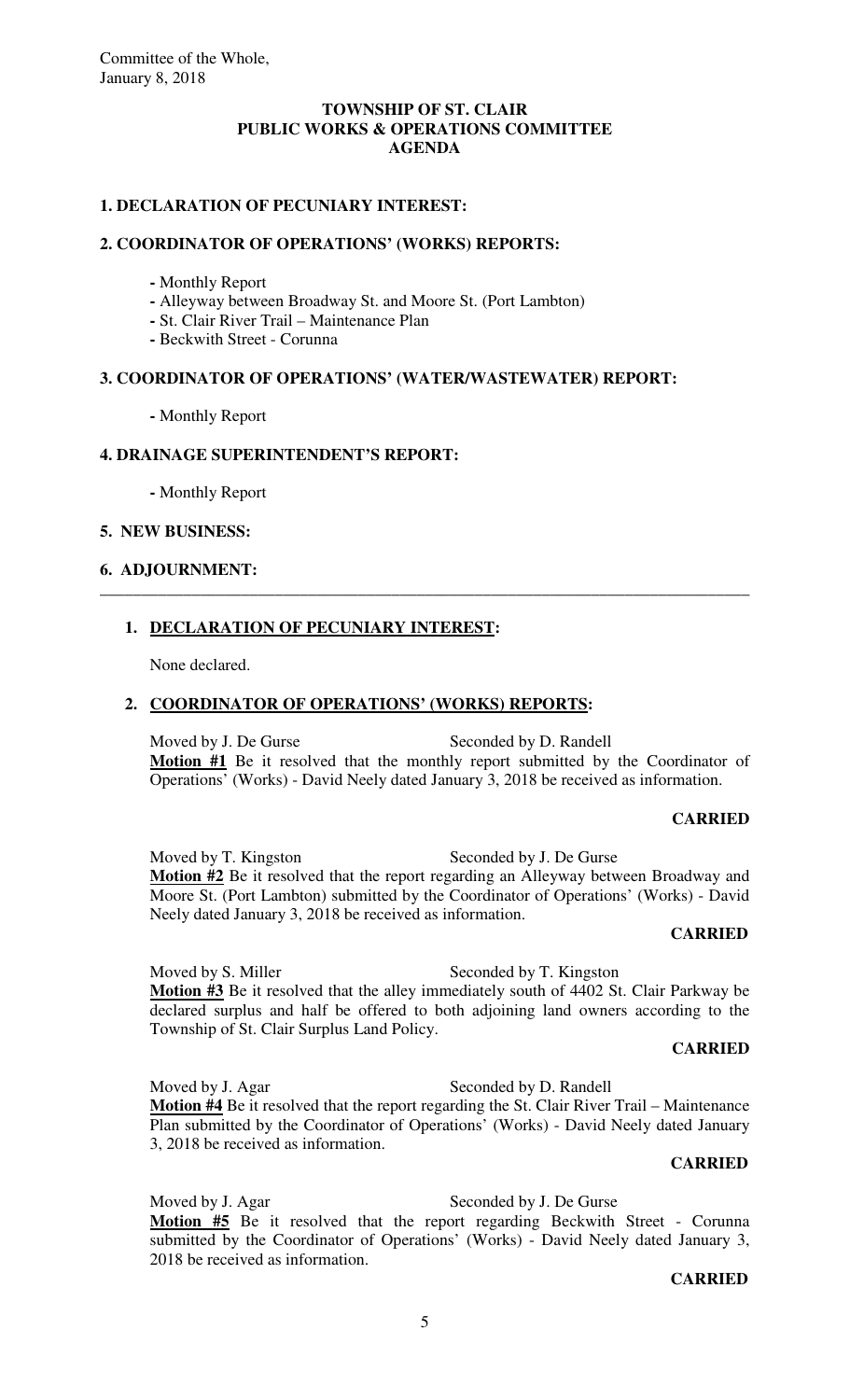## **TOWNSHIP OF ST. CLAIR PUBLIC WORKS & OPERATIONS COMMITTEE AGENDA**

## **1. DECLARATION OF PECUNIARY INTEREST:**

#### **2. COORDINATOR OF OPERATIONS' (WORKS) REPORTS:**

- Monthly Report
- **-** Alleyway between Broadway St. and Moore St. (Port Lambton)
- **-** St. Clair River Trail Maintenance Plan
- **-** Beckwith Street Corunna

# **3. COORDINATOR OF OPERATIONS' (WATER/WASTEWATER) REPORT:**

 **-** Monthly Report

## **4. DRAINAGE SUPERINTENDENT'S REPORT:**

 **-** Monthly Report

## **5. NEW BUSINESS:**

## **6. ADJOURNMENT:**

## **1. DECLARATION OF PECUNIARY INTEREST:**

None declared.

#### **2. COORDINATOR OF OPERATIONS' (WORKS) REPORTS:**

Moved by J. De Gurse Seconded by D. Randell **Motion #1** Be it resolved that the monthly report submitted by the Coordinator of Operations' (Works) - David Neely dated January 3, 2018 be received as information.

\_\_\_\_\_\_\_\_\_\_\_\_\_\_\_\_\_\_\_\_\_\_\_\_\_\_\_\_\_\_\_\_\_\_\_\_\_\_\_\_\_\_\_\_\_\_\_\_\_\_\_\_\_\_\_\_\_\_\_\_\_\_\_\_\_\_\_\_\_\_\_\_\_\_\_\_\_\_

#### **CARRIED**

Moved by T. Kingston Seconded by J. De Gurse **Motion #2** Be it resolved that the report regarding an Alleyway between Broadway and Moore St. (Port Lambton) submitted by the Coordinator of Operations' (Works) - David Neely dated January 3, 2018 be received as information.

#### **CARRIED**

Moved by S. Miller Seconded by T. Kingston **Motion #3** Be it resolved that the alley immediately south of 4402 St. Clair Parkway be declared surplus and half be offered to both adjoining land owners according to the Township of St. Clair Surplus Land Policy.

#### **CARRIED**

Moved by J. Agar Seconded by D. Randell **Motion #4** Be it resolved that the report regarding the St. Clair River Trail – Maintenance Plan submitted by the Coordinator of Operations' (Works) - David Neely dated January 3, 2018 be received as information.

#### **CARRIED**

Moved by J. Agar Seconded by J. De Gurse **Motion #5** Be it resolved that the report regarding Beckwith Street - Corunna submitted by the Coordinator of Operations' (Works) - David Neely dated January 3, 2018 be received as information.

#### **CARRIED**